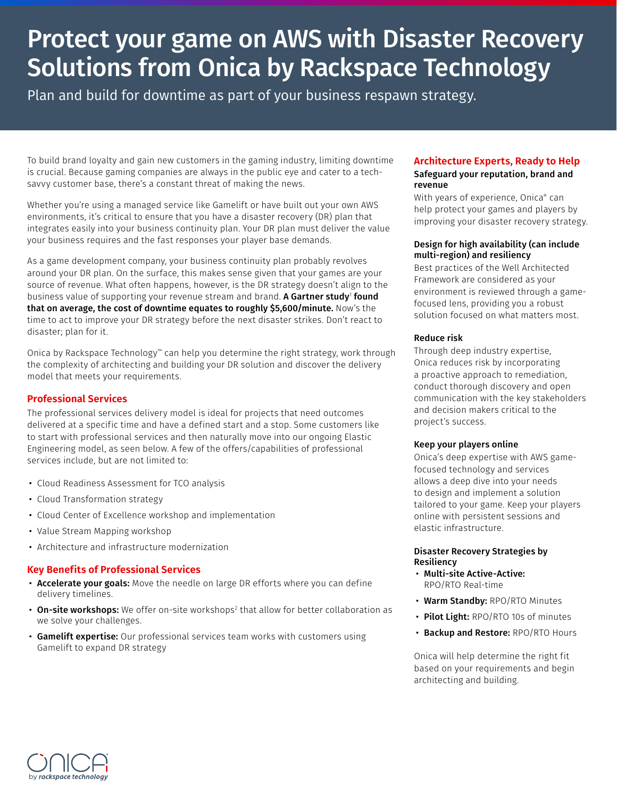# Protect your game on AWS with Disaster Recovery Solutions from Onica by Rackspace Technology

Plan and build for downtime as part of your business respawn strategy.

To build brand loyalty and gain new customers in the gaming industry, limiting downtime is crucial. Because gaming companies are always in the public eye and cater to a techsavvy customer base, there's a constant threat of making the news.

Whether you're using a managed service like Gamelift or have built out your own AWS environments, it's critical to ensure that you have a disaster recovery (DR) plan that integrates easily into your business continuity plan. Your DR plan must deliver the value your business requires and the fast responses your player base demands.

As a game development company, your business continuity plan probably revolves around your DR plan. On the surface, this makes sense given that your games are your source of revenue. What often happens, however, is the DR strategy doesn't align to the business value of supporting your revenue stream and brand. **A Gartner study' found** that on average, the cost of downtime equates to roughly \$5,600/minute. Now's the time to act to improve your DR strategy before the next disaster strikes. Don't react to disaster; plan for it.

Onica by Rackspace Technology™ can help you determine the right strategy, work through the complexity of architecting and building your DR solution and discover the delivery model that meets your requirements.

## **Professional Services**

The professional services delivery model is ideal for projects that need outcomes delivered at a specific time and have a defined start and a stop. Some customers like to start with professional services and then naturally move into our ongoing Elastic Engineering model, as seen below. A few of the offers/capabilities of professional services include, but are not limited to:

- Cloud Readiness Assessment for TCO analysis
- Cloud Transformation strategy
- Cloud Center of Excellence workshop and implementation
- Value Stream Mapping workshop
- Architecture and infrastructure modernization

#### **Key Benefits of Professional Services**

- Accelerate your goals: Move the needle on large DR efforts where you can define delivery timelines.
- On-site workshops: We offer on-site workshops $^{\rm 2}$  that allow for better collaboration as we solve your challenges.
- Gamelift expertise: Our professional services team works with customers using Gamelift to expand DR strategy

## **Architecture Experts, Ready to Help**

#### Safeguard your reputation, brand and revenue

With years of experience, Onica® can help protect your games and players by improving your disaster recovery strategy.

#### Design for high availability (can include multi-region) and resiliency

Best practices of the Well Architected Framework are considered as your environment is reviewed through a gamefocused lens, providing you a robust solution focused on what matters most.

#### Reduce risk

Through deep industry expertise, Onica reduces risk by incorporating a proactive approach to remediation, conduct thorough discovery and open communication with the key stakeholders and decision makers critical to the project's success.

#### Keep your players online

Onica's deep expertise with AWS gamefocused technology and services allows a deep dive into your needs to design and implement a solution tailored to your game. Keep your players online with persistent sessions and elastic infrastructure.

#### Disaster Recovery Strategies by Resiliency

- Multi-site Active-Active: RPO/RTO Real-time
- Warm Standby: RPO/RTO Minutes
- Pilot Light: RPO/RTO 10s of minutes
- Backup and Restore: RPO/RTO Hours

Onica will help determine the right fit based on your requirements and begin architecting and building.